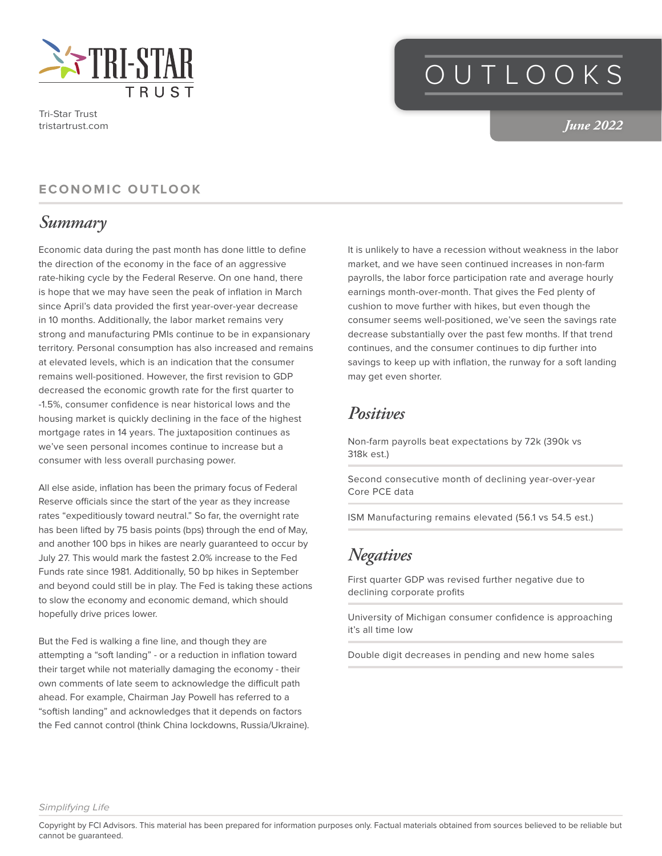

Tri-Star Trust tristartrust.com

## OUTLOOKS

*June 2022*

#### **ECONOMIC OUTLOOK**

#### *Summary*

Economic data during the past month has done little to define the direction of the economy in the face of an aggressive rate-hiking cycle by the Federal Reserve. On one hand, there is hope that we may have seen the peak of inflation in March since April's data provided the first year-over-year decrease in 10 months. Additionally, the labor market remains very strong and manufacturing PMIs continue to be in expansionary territory. Personal consumption has also increased and remains at elevated levels, which is an indication that the consumer remains well-positioned. However, the first revision to GDP decreased the economic growth rate for the first quarter to -1.5%, consumer confidence is near historical lows and the housing market is quickly declining in the face of the highest mortgage rates in 14 years. The juxtaposition continues as we've seen personal incomes continue to increase but a consumer with less overall purchasing power.

All else aside, inflation has been the primary focus of Federal Reserve officials since the start of the year as they increase rates "expeditiously toward neutral." So far, the overnight rate has been lifted by 75 basis points (bps) through the end of May, and another 100 bps in hikes are nearly guaranteed to occur by July 27. This would mark the fastest 2.0% increase to the Fed Funds rate since 1981. Additionally, 50 bp hikes in September and beyond could still be in play. The Fed is taking these actions to slow the economy and economic demand, which should hopefully drive prices lower.

But the Fed is walking a fine line, and though they are attempting a "soft landing" - or a reduction in inflation toward their target while not materially damaging the economy - their own comments of late seem to acknowledge the difficult path ahead. For example, Chairman Jay Powell has referred to a "softish landing" and acknowledges that it depends on factors the Fed cannot control (think China lockdowns, Russia/Ukraine). It is unlikely to have a recession without weakness in the labor market, and we have seen continued increases in non-farm payrolls, the labor force participation rate and average hourly earnings month-over-month. That gives the Fed plenty of cushion to move further with hikes, but even though the consumer seems well-positioned, we've seen the savings rate decrease substantially over the past few months. If that trend continues, and the consumer continues to dip further into savings to keep up with inflation, the runway for a soft landing may get even shorter.

#### *Positives*

Non-farm payrolls beat expectations by 72k (390k vs 318k est.)

Second consecutive month of declining year-over-year Core PCE data

ISM Manufacturing remains elevated (56.1 vs 54.5 est.)

## *Negatives*

First quarter GDP was revised further negative due to declining corporate profits

University of Michigan consumer confidence is approaching it's all time low

Double digit decreases in pending and new home sales

Copyright by FCI Advisors. This material has been prepared for information purposes only. Factual materials obtained from sources believed to be reliable but cannot be guaranteed.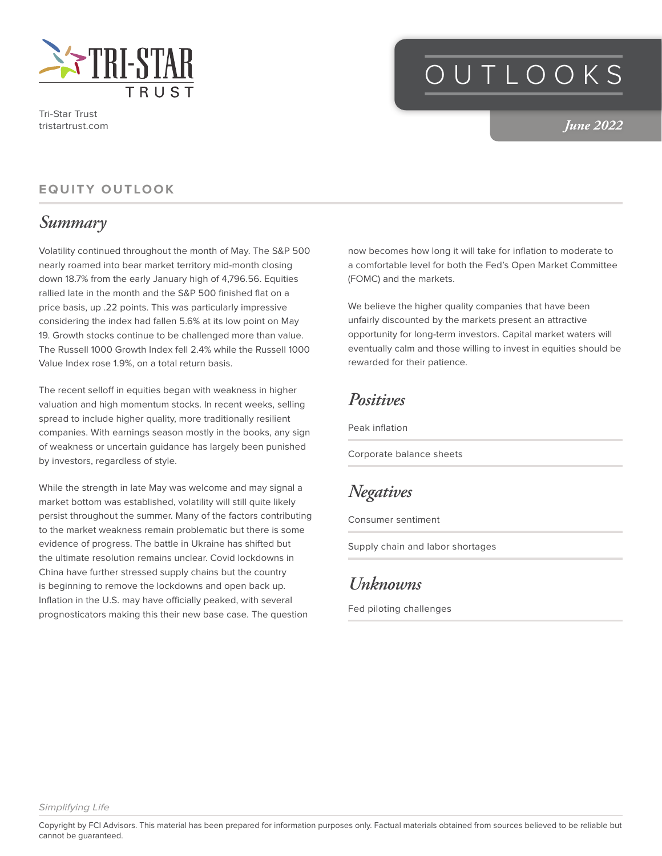

Tri-Star Trust tristartrust.com

# OUTLOOKS

*June 2022*

#### **EQUITY OUTLOOK**

#### *Summary*

Volatility continued throughout the month of May. The S&P 500 nearly roamed into bear market territory mid-month closing down 18.7% from the early January high of 4,796.56. Equities rallied late in the month and the S&P 500 finished flat on a price basis, up .22 points. This was particularly impressive considering the index had fallen 5.6% at its low point on May 19. Growth stocks continue to be challenged more than value. The Russell 1000 Growth Index fell 2.4% while the Russell 1000 Value Index rose 1.9%, on a total return basis.

The recent selloff in equities began with weakness in higher valuation and high momentum stocks. In recent weeks, selling spread to include higher quality, more traditionally resilient companies. With earnings season mostly in the books, any sign of weakness or uncertain guidance has largely been punished by investors, regardless of style.

While the strength in late May was welcome and may signal a market bottom was established, volatility will still quite likely persist throughout the summer. Many of the factors contributing to the market weakness remain problematic but there is some evidence of progress. The battle in Ukraine has shifted but the ultimate resolution remains unclear. Covid lockdowns in China have further stressed supply chains but the country is beginning to remove the lockdowns and open back up. Inflation in the U.S. may have officially peaked, with several prognosticators making this their new base case. The question

now becomes how long it will take for inflation to moderate to a comfortable level for both the Fed's Open Market Committee (FOMC) and the markets.

We believe the higher quality companies that have been unfairly discounted by the markets present an attractive opportunity for long-term investors. Capital market waters will eventually calm and those willing to invest in equities should be rewarded for their patience.

#### *Positives*

Peak inflation

Corporate balance sheets

### *Negatives*

Consumer sentiment

Supply chain and labor shortages

## *Unknowns*

Fed piloting challenges